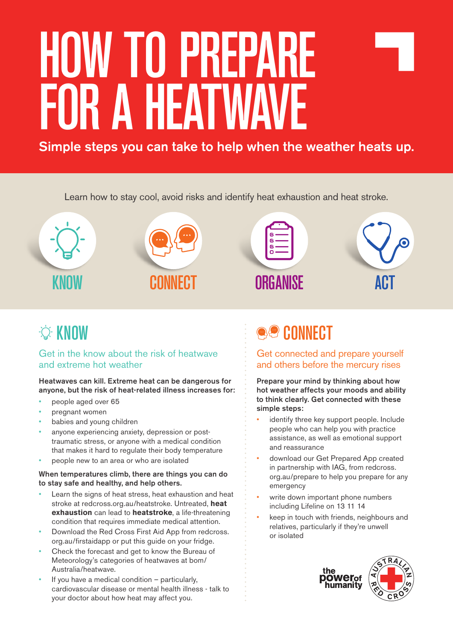# HOW TO PREPARE FOR A HEATWAVE

Simple steps you can take to help when the weather heats up.

Learn how to stay cool, avoid risks and identify heat exhaustion and heat stroke.



# *<b>C* KNOW

## Get in the know about the risk of heatwave and extreme hot weather

Heatwaves can kill. Extreme heat can be dangerous for anyone, but the risk of heat-related illness increases for:

- people aged over 65
- pregnant women
- babies and young children
- anyone experiencing anxiety, depression or posttraumatic stress, or anyone with a medical condition that makes it hard to regulate their body temperature
- people new to an area or who are isolated

#### When temperatures climb, there are things you can do to stay safe and healthy, and help others.

- Learn the signs of heat stress, heat exhaustion and heat stroke at redcross.org.au/heatstroke. Untreated, **heat exhaustion** can lead to **heatstroke**, a life-threatening condition that requires immediate medical attention.
- Download the Red Cross First Aid App from redcross. org.au/firstaidapp or put this guide on your fridge.
- Check the forecast and get to know the Bureau of Meteorology's categories of heatwaves at bom/ Australia/heatwave.
- If you have a medical condition  $-$  particularly, cardiovascular disease or mental health illness - talk to your doctor about how heat may affect you.

# **ee CONNECT**

Get connected and prepare yourself and others before the mercury rises

Prepare your mind by thinking about how hot weather affects your moods and ability to think clearly. Get connected with these simple steps:

- identify three key support people. Include people who can help you with practice assistance, as well as emotional support and reassurance
- download our Get Prepared App created in partnership with IAG, from redcross. org.au/prepare to help you prepare for any emergency
- write down important phone numbers including Lifeline on 13 11 14
- keep in touch with friends, neighbours and relatives, particularly if they're unwell or isolated

the